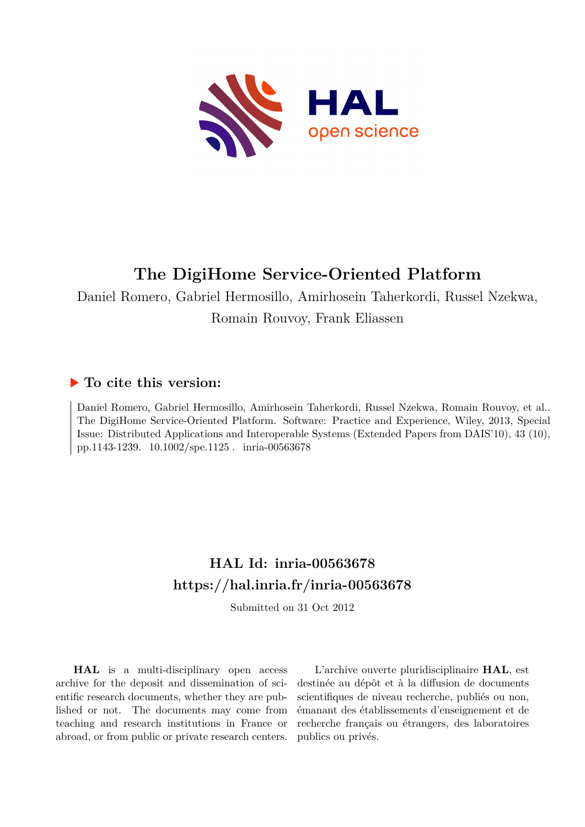

# **The DigiHome Service-Oriented Platform**

Daniel Romero, Gabriel Hermosillo, Amirhosein Taherkordi, Russel Nzekwa,

### Romain Rouvoy, Frank Eliassen

### **To cite this version:**

Daniel Romero, Gabriel Hermosillo, Amirhosein Taherkordi, Russel Nzekwa, Romain Rouvoy, et al.. The DigiHome Service-Oriented Platform. Software: Practice and Experience, Wiley, 2013, Special Issue: Distributed Applications and Interoperable Systems (Extended Papers from DAIS'10), 43 (10), pp.1143-1239. 10.1002/spe.1125. inria-00563678

## **HAL Id: inria-00563678 <https://hal.inria.fr/inria-00563678>**

Submitted on 31 Oct 2012

**HAL** is a multi-disciplinary open access archive for the deposit and dissemination of scientific research documents, whether they are published or not. The documents may come from teaching and research institutions in France or abroad, or from public or private research centers.

L'archive ouverte pluridisciplinaire **HAL**, est destinée au dépôt et à la diffusion de documents scientifiques de niveau recherche, publiés ou non, émanant des établissements d'enseignement et de recherche français ou étrangers, des laboratoires publics ou privés.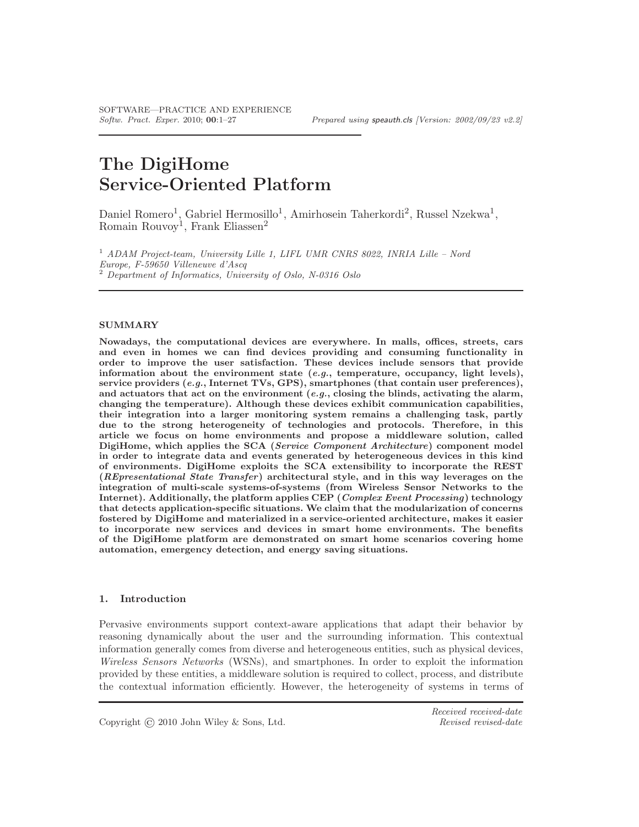## The DigiHome Service-Oriented Platform

Daniel Romero<sup>1</sup>, Gabriel Hermosillo<sup>1</sup>, Amirhosein Taherkordi<sup>2</sup>, Russel Nzekwa<sup>1</sup>, Romain Rouvoy<sup>1</sup>, Frank Eliassen<sup>2</sup>

<sup>1</sup> ADAM Project-team, University Lille 1, LIFL UMR CNRS 8022, INRIA Lille – Nord Europe, F-59650 Villeneuve d'Ascq <sup>2</sup> Department of Informatics, University of Oslo, N-0316 Oslo

#### SUMMARY

Nowadays, the computational devices are everywhere. In malls, offices, streets, cars and even in homes we can find devices providing and consuming functionality in order to improve the user satisfaction. These devices include sensors that provide information about the environment state  $(e.g.,$  temperature, occupancy, light levels), service providers  $(e.g.,$  Internet TVs, GPS), smartphones (that contain user preferences), and actuators that act on the environment  $(e.g., closing the blinds, activating the alarm,$ changing the temperature). Although these devices exhibit communication capabilities, their integration into a larger monitoring system remains a challenging task, partly due to the strong heterogeneity of technologies and protocols. Therefore, in this article we focus on home environments and propose a middleware solution, called DigiHome, which applies the SCA (Service Component Architecture) component model in order to integrate data and events generated by heterogeneous devices in this kind of environments. DigiHome exploits the SCA extensibility to incorporate the REST (REpresentational State Transfer) architectural style, and in this way leverages on the integration of multi-scale systems-of-systems (from Wireless Sensor Networks to the Internet). Additionally, the platform applies CEP (Complex Event Processing) technology that detects application-specific situations. We claim that the modularization of concerns fostered by DigiHome and materialized in a service-oriented architecture, makes it easier to incorporate new services and devices in smart home environments. The benefits of the DigiHome platform are demonstrated on smart home scenarios covering home automation, emergency detection, and energy saving situations.

#### 1. Introduction

Pervasive environments support context-aware applications that adapt their behavior by reasoning dynamically about the user and the surrounding information. This contextual information generally comes from diverse and heterogeneous entities, such as physical devices, *Wireless Sensors Networks* (WSNs), and smartphones. In order to exploit the information provided by these entities, a middleware solution is required to collect, process, and distribute the contextual information efficiently. However, the heterogeneity of systems in terms of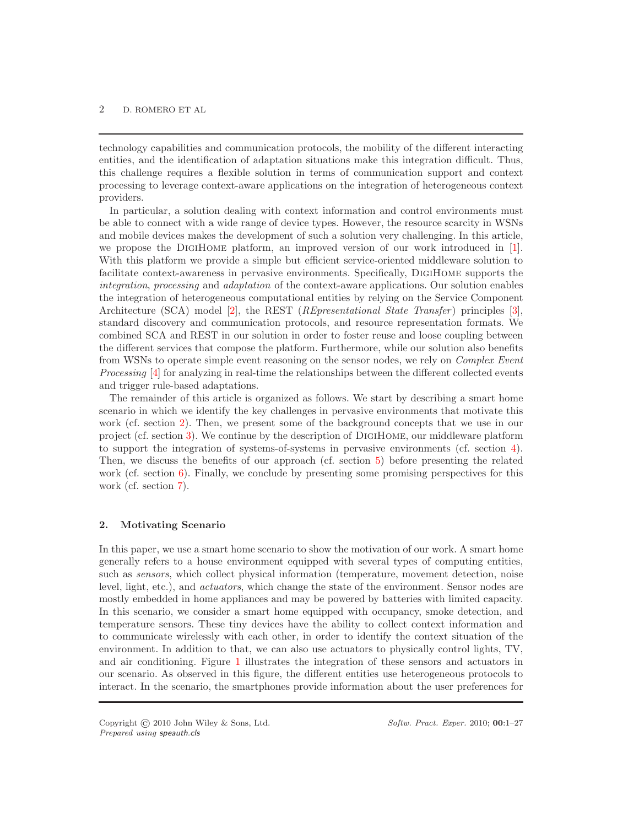technology capabilities and communication protocols, the mobility of the different interacting entities, and the identification of adaptation situations make this integration difficult. Thus, this challenge requires a flexible solution in terms of communication support and context processing to leverage context-aware applications on the integration of heterogeneous context providers.

In particular, a solution dealing with context information and control environments must be able to connect with a wide range of device types. However, the resource scarcity in WSNs and mobile devices makes the development of such a solution very challenging. In this article, we propose the DigiHome platform, an improved version of our work introduced in [\[1\]](#page-15-0). With this platform we provide a simple but efficient service-oriented middleware solution to facilitate context-awareness in pervasive environments. Specifically, DigiHome supports the *integration*, *processing* and *adaptation* of the context-aware applications. Our solution enables the integration of heterogeneous computational entities by relying on the Service Component Architecture (SCA) model [\[2\]](#page-15-1), the REST (*REpresentational State Transfer* ) principles [\[3\]](#page-15-2), standard discovery and communication protocols, and resource representation formats. We combined SCA and REST in our solution in order to foster reuse and loose coupling between the different services that compose the platform. Furthermore, while our solution also benefits from WSNs to operate simple event reasoning on the sensor nodes, we rely on *Complex Event Processing* [\[4\]](#page-15-3) for analyzing in real-time the relationships between the different collected events and trigger rule-based adaptations.

The remainder of this article is organized as follows. We start by describing a smart home scenario in which we identify the key challenges in pervasive environments that motivate this work (cf. section [2\)](#page-2-0). Then, we present some of the background concepts that we use in our project (cf. section [3\)](#page-4-0). We continue by the description of DigiHome, our middleware platform to support the integration of systems-of-systems in pervasive environments (cf. section [4\)](#page-6-0). Then, we discuss the benefits of our approach (cf. section [5\)](#page-10-0) before presenting the related work (cf. section  $6$ ). Finally, we conclude by presenting some promising perspectives for this work (cf. section [7\)](#page-15-4).

#### <span id="page-2-0"></span>2. Motivating Scenario

In this paper, we use a smart home scenario to show the motivation of our work. A smart home generally refers to a house environment equipped with several types of computing entities, such as *sensors*, which collect physical information (temperature, movement detection, noise level, light, etc.), and *actuators*, which change the state of the environment. Sensor nodes are mostly embedded in home appliances and may be powered by batteries with limited capacity. In this scenario, we consider a smart home equipped with occupancy, smoke detection, and temperature sensors. These tiny devices have the ability to collect context information and to communicate wirelessly with each other, in order to identify the context situation of the environment. In addition to that, we can also use actuators to physically control lights, TV, and air conditioning. Figure [1](#page-3-0) illustrates the integration of these sensors and actuators in our scenario. As observed in this figure, the different entities use heterogeneous protocols to interact. In the scenario, the smartphones provide information about the user preferences for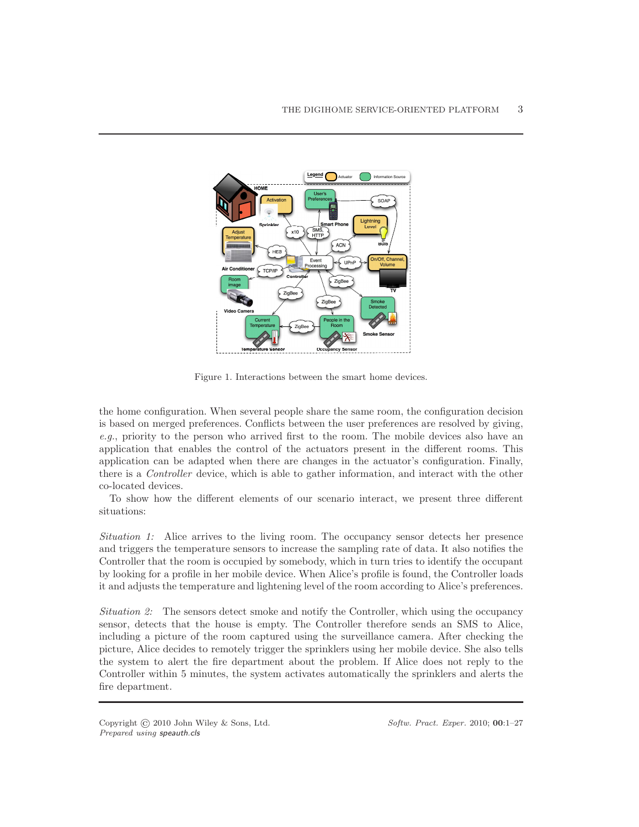

<span id="page-3-0"></span>Figure 1. Interactions between the smart home devices.

the home configuration. When several people share the same room, the configuration decision is based on merged preferences. Conflicts between the user preferences are resolved by giving, *e.g.*, priority to the person who arrived first to the room. The mobile devices also have an application that enables the control of the actuators present in the different rooms. This application can be adapted when there are changes in the actuator's configuration. Finally, there is a *Controller* device, which is able to gather information, and interact with the other co-located devices.

To show how the different elements of our scenario interact, we present three different situations:

*Situation 1:* Alice arrives to the living room. The occupancy sensor detects her presence and triggers the temperature sensors to increase the sampling rate of data. It also notifies the Controller that the room is occupied by somebody, which in turn tries to identify the occupant by looking for a profile in her mobile device. When Alice's profile is found, the Controller loads it and adjusts the temperature and lightening level of the room according to Alice's preferences.

*Situation 2:* The sensors detect smoke and notify the Controller, which using the occupancy sensor, detects that the house is empty. The Controller therefore sends an SMS to Alice, including a picture of the room captured using the surveillance camera. After checking the picture, Alice decides to remotely trigger the sprinklers using her mobile device. She also tells the system to alert the fire department about the problem. If Alice does not reply to the Controller within 5 minutes, the system activates automatically the sprinklers and alerts the fire department.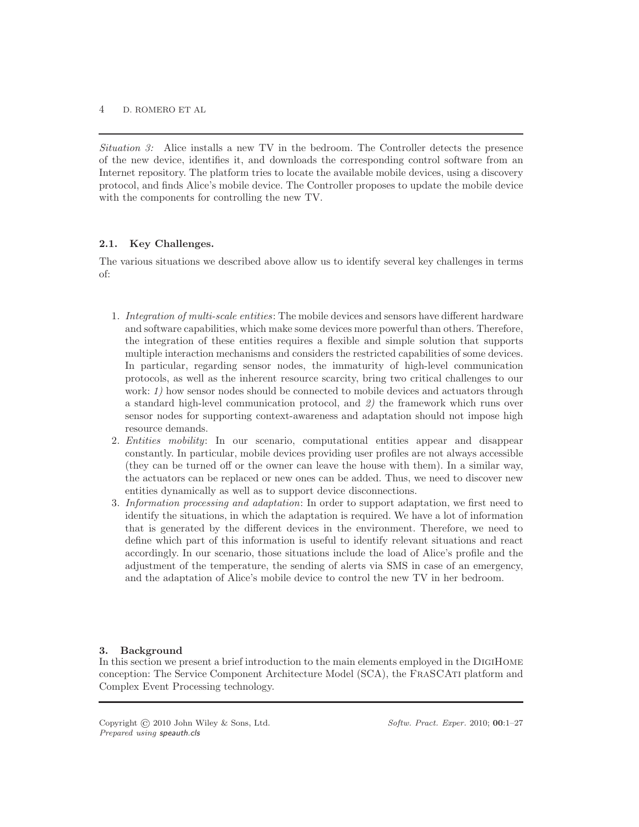*Situation 3:* Alice installs a new TV in the bedroom. The Controller detects the presence of the new device, identifies it, and downloads the corresponding control software from an Internet repository. The platform tries to locate the available mobile devices, using a discovery protocol, and finds Alice's mobile device. The Controller proposes to update the mobile device with the components for controlling the new TV.

#### 2.1. Key Challenges.

The various situations we described above allow us to identify several key challenges in terms  $\alpha$ f.

- 1. *Integration of multi-scale entities*: The mobile devices and sensors have different hardware and software capabilities, which make some devices more powerful than others. Therefore, the integration of these entities requires a flexible and simple solution that supports multiple interaction mechanisms and considers the restricted capabilities of some devices. In particular, regarding sensor nodes, the immaturity of high-level communication protocols, as well as the inherent resource scarcity, bring two critical challenges to our work: 1) how sensor nodes should be connected to mobile devices and actuators through a standard high-level communication protocol, and *2)* the framework which runs over sensor nodes for supporting context-awareness and adaptation should not impose high resource demands.
- 2. *Entities mobility*: In our scenario, computational entities appear and disappear constantly. In particular, mobile devices providing user profiles are not always accessible (they can be turned off or the owner can leave the house with them). In a similar way, the actuators can be replaced or new ones can be added. Thus, we need to discover new entities dynamically as well as to support device disconnections.
- 3. *Information processing and adaptation*: In order to support adaptation, we first need to identify the situations, in which the adaptation is required. We have a lot of information that is generated by the different devices in the environment. Therefore, we need to define which part of this information is useful to identify relevant situations and react accordingly. In our scenario, those situations include the load of Alice's profile and the adjustment of the temperature, the sending of alerts via SMS in case of an emergency, and the adaptation of Alice's mobile device to control the new TV in her bedroom.

#### <span id="page-4-0"></span>3. Background

In this section we present a brief introduction to the main elements employed in the DigiHome conception: The Service Component Architecture Model (SCA), the FraSCAti platform and Complex Event Processing technology.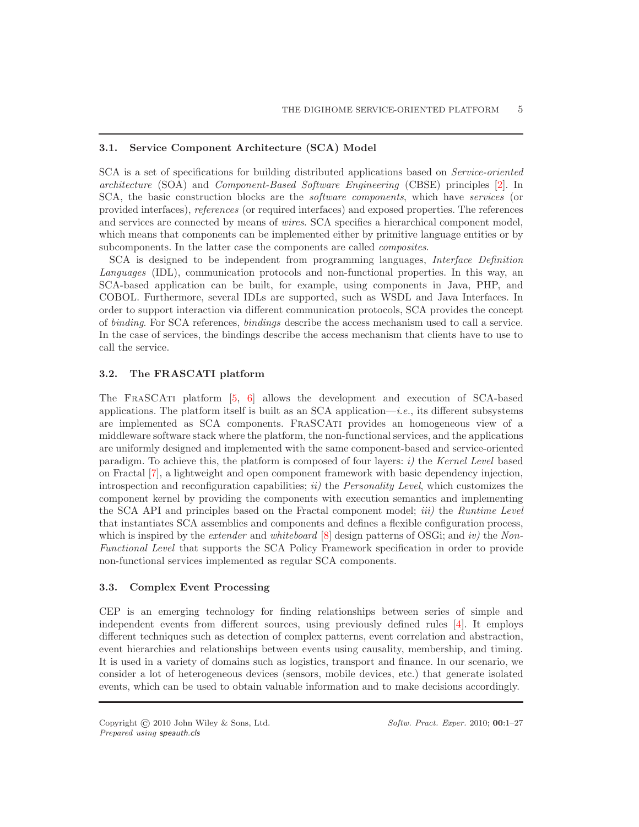### 3.1. Service Component Architecture (SCA) Model

SCA is a set of specifications for building distributed applications based on *Service-oriented architecture* (SOA) and *Component-Based Software Engineering* (CBSE) principles [\[2\]](#page-15-1). In SCA, the basic construction blocks are the *software components*, which have *services* (or provided interfaces), *references* (or required interfaces) and exposed properties. The references and services are connected by means of *wires*. SCA specifies a hierarchical component model, which means that components can be implemented either by primitive language entities or by subcomponents. In the latter case the components are called *composites*.

SCA is designed to be independent from programming languages, *Interface Definition Languages* (IDL), communication protocols and non-functional properties. In this way, an SCA-based application can be built, for example, using components in Java, PHP, and COBOL. Furthermore, several IDLs are supported, such as WSDL and Java Interfaces. In order to support interaction via different communication protocols, SCA provides the concept of *binding*. For SCA references, *bindings* describe the access mechanism used to call a service. In the case of services, the bindings describe the access mechanism that clients have to use to call the service.

#### <span id="page-5-0"></span>3.2. The FRASCATI platform

The FraSCAti platform [\[5,](#page-15-5) [6\]](#page-16-0) allows the development and execution of SCA-based applications. The platform itself is built as an SCA application—*i.e.*, its different subsystems are implemented as SCA components. FraSCAti provides an homogeneous view of a middleware software stack where the platform, the non-functional services, and the applications are uniformly designed and implemented with the same component-based and service-oriented paradigm. To achieve this, the platform is composed of four layers: *i)* the *Kernel Level* based on Fractal [\[7\]](#page-16-1), a lightweight and open component framework with basic dependency injection, introspection and reconfiguration capabilities; *ii)* the *Personality Level*, which customizes the component kernel by providing the components with execution semantics and implementing the SCA API and principles based on the Fractal component model; *iii)* the *Runtime Level* that instantiates SCA assemblies and components and defines a flexible configuration process, which is inspired by the *extender* and *whiteboard* [\[8\]](#page-16-2) design patterns of OSGi; and *iv)* the *Non-Functional Level* that supports the SCA Policy Framework specification in order to provide non-functional services implemented as regular SCA components.

#### 3.3. Complex Event Processing

CEP is an emerging technology for finding relationships between series of simple and independent events from different sources, using previously defined rules [\[4\]](#page-15-3). It employs different techniques such as detection of complex patterns, event correlation and abstraction, event hierarchies and relationships between events using causality, membership, and timing. It is used in a variety of domains such as logistics, transport and finance. In our scenario, we consider a lot of heterogeneous devices (sensors, mobile devices, etc.) that generate isolated events, which can be used to obtain valuable information and to make decisions accordingly.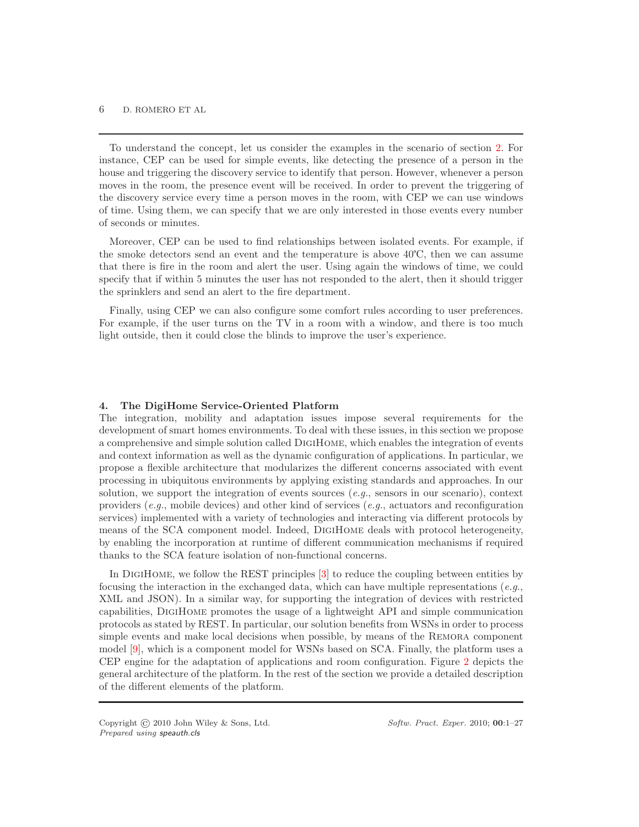To understand the concept, let us consider the examples in the scenario of section [2.](#page-2-0) For instance, CEP can be used for simple events, like detecting the presence of a person in the house and triggering the discovery service to identify that person. However, whenever a person moves in the room, the presence event will be received. In order to prevent the triggering of the discovery service every time a person moves in the room, with CEP we can use windows of time. Using them, we can specify that we are only interested in those events every number of seconds or minutes.

Moreover, CEP can be used to find relationships between isolated events. For example, if the smoke detectors send an event and the temperature is above 40℃, then we can assume that there is fire in the room and alert the user. Using again the windows of time, we could specify that if within 5 minutes the user has not responded to the alert, then it should trigger the sprinklers and send an alert to the fire department.

Finally, using CEP we can also configure some comfort rules according to user preferences. For example, if the user turns on the TV in a room with a window, and there is too much light outside, then it could close the blinds to improve the user's experience.

#### <span id="page-6-0"></span>4. The DigiHome Service-Oriented Platform

The integration, mobility and adaptation issues impose several requirements for the development of smart homes environments. To deal with these issues, in this section we propose a comprehensive and simple solution called DigiHome, which enables the integration of events and context information as well as the dynamic configuration of applications. In particular, we propose a flexible architecture that modularizes the different concerns associated with event processing in ubiquitous environments by applying existing standards and approaches. In our solution, we support the integration of events sources (*e.g.*, sensors in our scenario), context providers (*e.g.*, mobile devices) and other kind of services (*e.g.*, actuators and reconfiguration services) implemented with a variety of technologies and interacting via different protocols by means of the SCA component model. Indeed, DigiHome deals with protocol heterogeneity, by enabling the incorporation at runtime of different communication mechanisms if required thanks to the SCA feature isolation of non-functional concerns.

In DigiHome, we follow the REST principles [\[3\]](#page-15-2) to reduce the coupling between entities by focusing the interaction in the exchanged data, which can have multiple representations (*e.g.*, XML and JSON). In a similar way, for supporting the integration of devices with restricted capabilities, DigiHome promotes the usage of a lightweight API and simple communication protocols as stated by REST. In particular, our solution benefits from WSNs in order to process simple events and make local decisions when possible, by means of the Remora component model [\[9\]](#page-16-3), which is a component model for WSNs based on SCA. Finally, the platform uses a CEP engine for the adaptation of applications and room configuration. Figure [2](#page-7-0) depicts the general architecture of the platform. In the rest of the section we provide a detailed description of the different elements of the platform.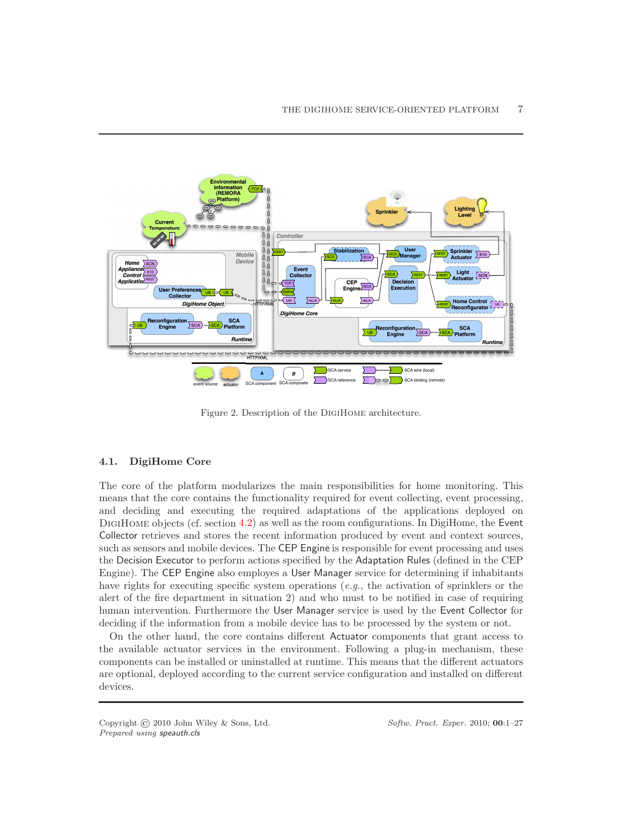

<span id="page-7-0"></span>Figure 2. Description of the DigiHome architecture.

#### 4.1. DigiHome Core

The core of the platform modularizes the main responsibilities for home monitoring. This means that the core contains the functionality required for event collecting, event processing, and deciding and executing the required adaptations of the applications deployed on DIGIHOME objects (cf. section  $4.2$ ) as well as the room configurations. In DigiHome, the Event Collector retrieves and stores the recent information produced by event and context sources, such as sensors and mobile devices. The CEP Engine is responsible for event processing and uses the Decision Executor to perform actions specified by the Adaptation Rules (defined in the CEP Engine). The CEP Engine also employes a User Manager service for determining if inhabitants have rights for executing specific system operations (*e.g.*, the activation of sprinklers or the alert of the fire department in situation 2) and who must to be notified in case of requiring human intervention. Furthermore the User Manager service is used by the Event Collector for deciding if the information from a mobile device has to be processed by the system or not.

On the other hand, the core contains different Actuator components that grant access to the available actuator services in the environment. Following a plug-in mechanism, these components can be installed or uninstalled at runtime. This means that the different actuators are optional, deployed according to the current service configuration and installed on different devices.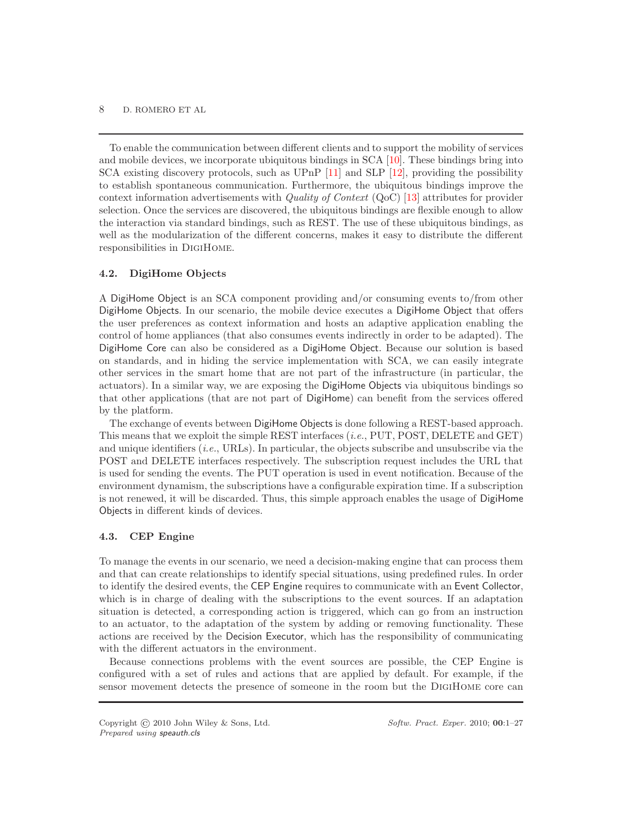#### 8 D. ROMERO ET AL

To enable the communication between different clients and to support the mobility of services and mobile devices, we incorporate ubiquitous bindings in SCA [\[10\]](#page-16-4). These bindings bring into SCA existing discovery protocols, such as UPnP  $[11]$  and SLP  $[12]$ , providing the possibility to establish spontaneous communication. Furthermore, the ubiquitous bindings improve the context information advertisements with *Quality of Context* (QoC) [\[13\]](#page-16-7) attributes for provider selection. Once the services are discovered, the ubiquitous bindings are flexible enough to allow the interaction via standard bindings, such as REST. The use of these ubiquitous bindings, as well as the modularization of the different concerns, makes it easy to distribute the different responsibilities in DigiHome.

#### <span id="page-8-0"></span>4.2. DigiHome Objects

A DigiHome Object is an SCA component providing and/or consuming events to/from other DigiHome Objects. In our scenario, the mobile device executes a DigiHome Object that offers the user preferences as context information and hosts an adaptive application enabling the control of home appliances (that also consumes events indirectly in order to be adapted). The DigiHome Core can also be considered as a DigiHome Object. Because our solution is based on standards, and in hiding the service implementation with SCA, we can easily integrate other services in the smart home that are not part of the infrastructure (in particular, the actuators). In a similar way, we are exposing the DigiHome Objects via ubiquitous bindings so that other applications (that are not part of DigiHome) can benefit from the services offered by the platform.

The exchange of events between DigiHome Objects is done following a REST-based approach. This means that we exploit the simple REST interfaces (*i.e.*, PUT, POST, DELETE and GET) and unique identifiers (*i.e.*, URLs). In particular, the objects subscribe and unsubscribe via the POST and DELETE interfaces respectively. The subscription request includes the URL that is used for sending the events. The PUT operation is used in event notification. Because of the environment dynamism, the subscriptions have a configurable expiration time. If a subscription is not renewed, it will be discarded. Thus, this simple approach enables the usage of DigiHome Objects in different kinds of devices.

#### 4.3. CEP Engine

To manage the events in our scenario, we need a decision-making engine that can process them and that can create relationships to identify special situations, using predefined rules. In order to identify the desired events, the CEP Engine requires to communicate with an Event Collector, which is in charge of dealing with the subscriptions to the event sources. If an adaptation situation is detected, a corresponding action is triggered, which can go from an instruction to an actuator, to the adaptation of the system by adding or removing functionality. These actions are received by the Decision Executor, which has the responsibility of communicating with the different actuators in the environment.

Because connections problems with the event sources are possible, the CEP Engine is configured with a set of rules and actions that are applied by default. For example, if the sensor movement detects the presence of someone in the room but the DigiHome core can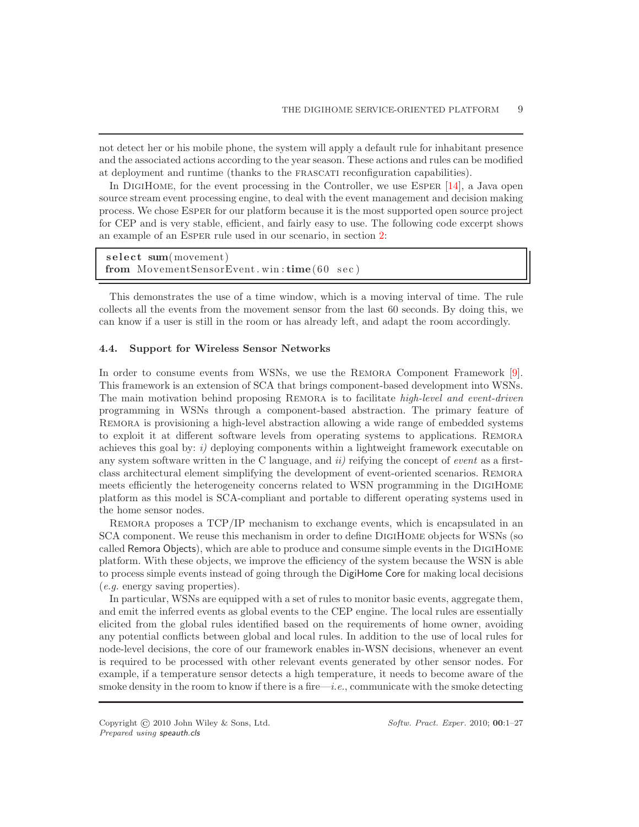not detect her or his mobile phone, the system will apply a default rule for inhabitant presence and the associated actions according to the year season. These actions and rules can be modified at deployment and runtime (thanks to the frascati reconfiguration capabilities).

In DIGIHOME, for the event processing in the Controller, we use ESPER [\[14\]](#page-16-8), a Java open source stream event processing engine, to deal with the event management and decision making process. We chose Esper for our platform because it is the most supported open source project for CEP and is very stable, efficient, and fairly easy to use. The following code excerpt shows an example of an Esper rule used in our scenario, in section [2:](#page-2-0)

```
s e lect sum (movement)
from MovementSensorEvent.win:time(60 \text{ sec})
```
This demonstrates the use of a time window, which is a moving interval of time. The rule collects all the events from the movement sensor from the last 60 seconds. By doing this, we can know if a user is still in the room or has already left, and adapt the room accordingly.

#### 4.4. Support for Wireless Sensor Networks

In order to consume events from WSNs, we use the REMORA Component Framework [\[9\]](#page-16-3). This framework is an extension of SCA that brings component-based development into WSNs. The main motivation behind proposing Remora is to facilitate *high-level and event-driven* programming in WSNs through a component-based abstraction. The primary feature of Remora is provisioning a high-level abstraction allowing a wide range of embedded systems to exploit it at different software levels from operating systems to applications. Remora achieves this goal by: *i)* deploying components within a lightweight framework executable on any system software written in the C language, and *ii)* reifying the concept of *event* as a firstclass architectural element simplifying the development of event-oriented scenarios. Remora meets efficiently the heterogeneity concerns related to WSN programming in the DigiHome platform as this model is SCA-compliant and portable to different operating systems used in the home sensor nodes.

Remora proposes a TCP/IP mechanism to exchange events, which is encapsulated in an SCA component. We reuse this mechanism in order to define DigiHome objects for WSNs (so called Remora Objects), which are able to produce and consume simple events in the DigiHome platform. With these objects, we improve the efficiency of the system because the WSN is able to process simple events instead of going through the DigiHome Core for making local decisions (*e.g.* energy saving properties).

In particular, WSNs are equipped with a set of rules to monitor basic events, aggregate them, and emit the inferred events as global events to the CEP engine. The local rules are essentially elicited from the global rules identified based on the requirements of home owner, avoiding any potential conflicts between global and local rules. In addition to the use of local rules for node-level decisions, the core of our framework enables in-WSN decisions, whenever an event is required to be processed with other relevant events generated by other sensor nodes. For example, if a temperature sensor detects a high temperature, it needs to become aware of the smoke density in the room to know if there is a fire—*i.e.*, communicate with the smoke detecting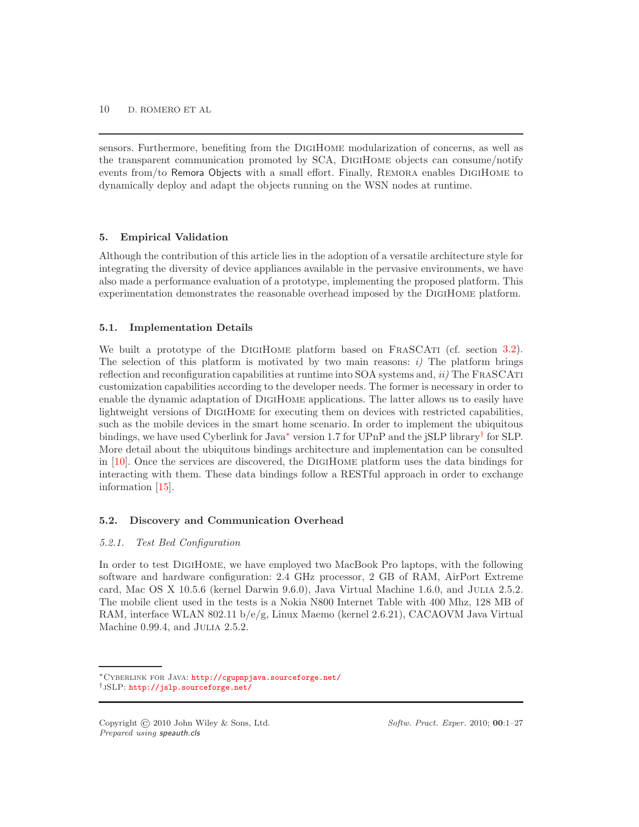sensors. Furthermore, benefiting from the DigiHome modularization of concerns, as well as the transparent communication promoted by SCA, DigiHome objects can consume/notify events from/to Remora Objects with a small effort. Finally, Remora enables DigiHome to dynamically deploy and adapt the objects running on the WSN nodes at runtime.

#### <span id="page-10-0"></span>5. Empirical Validation

Although the contribution of this article lies in the adoption of a versatile architecture style for integrating the diversity of device appliances available in the pervasive environments, we have also made a performance evaluation of a prototype, implementing the proposed platform. This experimentation demonstrates the reasonable overhead imposed by the DigiHome platform.

#### 5.1. Implementation Details

We built a prototype of the DIGIHOME platform based on FRASCATI (cf. section [3.2\)](#page-5-0). The selection of this platform is motivated by two main reasons:  $i$ ) The platform brings reflection and reconfiguration capabilities at runtime into SOA systems and, *ii)* The FraSCAti customization capabilities according to the developer needs. The former is necessary in order to enable the dynamic adaptation of DigiHome applications. The latter allows us to easily have lightweight versions of DigiHome for executing them on devices with restricted capabilities, such as the mobile devices in the smart home scenario. In order to implement the ubiquitous bindings, we have used Cyberlink for Java[∗](#page-10-1) version 1.7 for UPnP and the jSLP library[†](#page-10-2) for SLP. More detail about the ubiquitous bindings architecture and implementation can be consulted in [\[10\]](#page-16-4). Once the services are discovered, the DigiHome platform uses the data bindings for interacting with them. These data bindings follow a RESTful approach in order to exchange information [\[15\]](#page-16-9).

#### 5.2. Discovery and Communication Overhead

#### *5.2.1. Test Bed Configuration*

In order to test DigiHome, we have employed two MacBook Pro laptops, with the following software and hardware configuration: 2.4 GHz processor, 2 GB of RAM, AirPort Extreme card, Mac OS X 10.5.6 (kernel Darwin 9.6.0), Java Virtual Machine 1.6.0, and Julia 2.5.2. The mobile client used in the tests is a Nokia N800 Internet Table with 400 Mhz, 128 MB of RAM, interface WLAN 802.11 b/e/g, Linux Maemo (kernel 2.6.21), CACAOVM Java Virtual Machine 0.99.4, and JULIA 2.5.2.

<span id="page-10-2"></span><span id="page-10-1"></span><sup>∗</sup>Cyberlink for Java: <http://cgupnpjava.sourceforge.net/> † jSLP: <http://jslp.sourceforge.net/>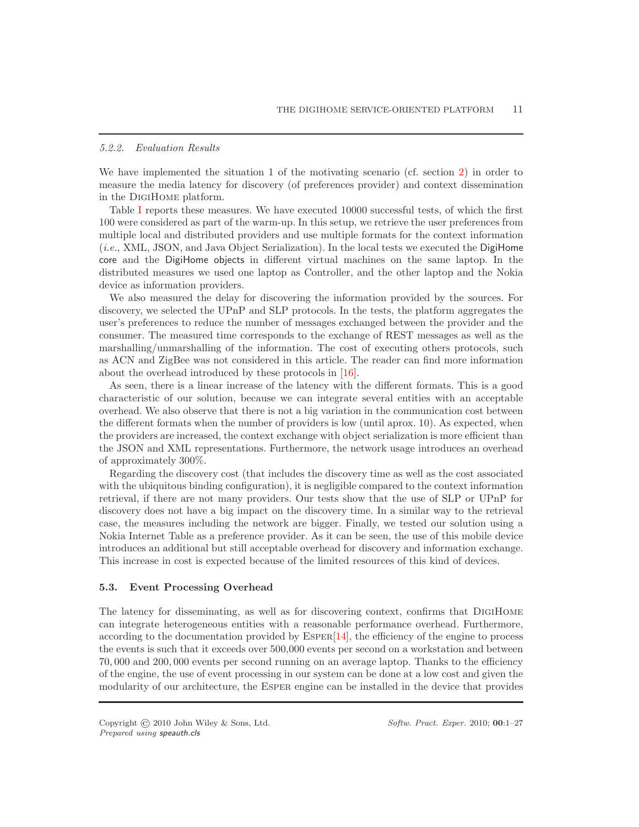#### *5.2.2. Evaluation Results*

We have implemented the situation 1 of the motivating scenario (cf. section [2\)](#page-2-0) in order to measure the media latency for discovery (of preferences provider) and context dissemination in the DigiHome platform.

Table [I](#page-12-1) reports these measures. We have executed 10000 successful tests, of which the first 100 were considered as part of the warm-up. In this setup, we retrieve the user preferences from multiple local and distributed providers and use multiple formats for the context information (*i.e.*, XML, JSON, and Java Object Serialization). In the local tests we executed the DigiHome core and the DigiHome objects in different virtual machines on the same laptop. In the distributed measures we used one laptop as Controller, and the other laptop and the Nokia device as information providers.

We also measured the delay for discovering the information provided by the sources. For discovery, we selected the UPnP and SLP protocols. In the tests, the platform aggregates the user's preferences to reduce the number of messages exchanged between the provider and the consumer. The measured time corresponds to the exchange of REST messages as well as the marshalling/unmarshalling of the information. The cost of executing others protocols, such as ACN and ZigBee was not considered in this article. The reader can find more information about the overhead introduced by these protocols in [\[16\]](#page-16-10).

As seen, there is a linear increase of the latency with the different formats. This is a good characteristic of our solution, because we can integrate several entities with an acceptable overhead. We also observe that there is not a big variation in the communication cost between the different formats when the number of providers is low (until aprox. 10). As expected, when the providers are increased, the context exchange with object serialization is more efficient than the JSON and XML representations. Furthermore, the network usage introduces an overhead of approximately 300%.

Regarding the discovery cost (that includes the discovery time as well as the cost associated with the ubiquitous binding configuration), it is negligible compared to the context information retrieval, if there are not many providers. Our tests show that the use of SLP or UPnP for discovery does not have a big impact on the discovery time. In a similar way to the retrieval case, the measures including the network are bigger. Finally, we tested our solution using a Nokia Internet Table as a preference provider. As it can be seen, the use of this mobile device introduces an additional but still acceptable overhead for discovery and information exchange. This increase in cost is expected because of the limited resources of this kind of devices.

#### 5.3. Event Processing Overhead

The latency for disseminating, as well as for discovering context, confirms that DigiHome can integrate heterogeneous entities with a reasonable performance overhead. Furthermore, according to the documentation provided by  $ESPER[14]$  $ESPER[14]$ , the efficiency of the engine to process the events is such that it exceeds over 500,000 events per second on a workstation and between 70, 000 and 200, 000 events per second running on an average laptop. Thanks to the efficiency of the engine, the use of event processing in our system can be done at a low cost and given the modularity of our architecture, the Esper engine can be installed in the device that provides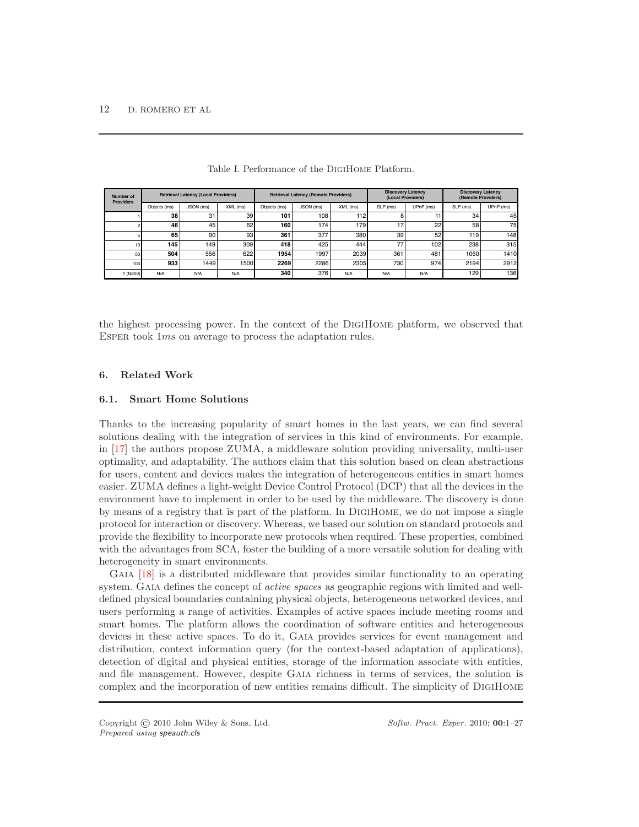| Number of<br><b>Providers</b> | <b>Retrieval Latency (Local Providers)</b> |           |          | <b>Retrieval Latency (Remote Providers)</b> |           |          | <b>Discovery Latency</b><br>(Local Providers) |             | <b>Discovery Latency</b><br>(Remote Providers) |             |
|-------------------------------|--------------------------------------------|-----------|----------|---------------------------------------------|-----------|----------|-----------------------------------------------|-------------|------------------------------------------------|-------------|
|                               | Objects (ms)                               | JSON (ms) | XML (ms) | Objects (ms)                                | JSON (ms) | XML (ms) | SLP (ms)                                      | $UPnP$ (ms) | SLP (ms)                                       | $UPnP$ (ms) |
|                               | 38                                         | 31        | 39       | 101                                         | 108       | 112      |                                               |             | 34                                             | 45          |
|                               | 46                                         | 45        | 62       | 160                                         | 174       | 179      |                                               | 22          | 58                                             | 75          |
|                               | 65                                         | 90        | 93       | 361                                         | 377       | 380      | 39                                            | 52          | 119                                            | 148         |
| 10                            | 145                                        | 149       | 309      | 418                                         | 425       | 444      | 77                                            | 102         | 238                                            | 315         |
| 50                            | 504                                        | 556       | 622      | 1954                                        | 1997      | 2039     | 361                                           | 481         | 1060                                           | 1410        |
| 100                           | 933                                        | 1449      | 1500     | 2269                                        | 2286      | 2305     | 730                                           | 974         | 2194                                           | 2912        |
| 1 (N800)                      | N/A                                        | N/A       | N/A      | 340                                         | 376       | N/A      | N/A                                           | N/A         | 129                                            | 136         |

<span id="page-12-1"></span>Table I. Performance of the DigiHome Platform.

the highest processing power. In the context of the DigiHome platform, we observed that ESPER took 1ms on average to process the adaptation rules.

#### <span id="page-12-0"></span>6. Related Work

#### 6.1. Smart Home Solutions

Thanks to the increasing popularity of smart homes in the last years, we can find several solutions dealing with the integration of services in this kind of environments. For example, in [\[17\]](#page-16-11) the authors propose ZUMA, a middleware solution providing universality, multi-user optimality, and adaptability. The authors claim that this solution based on clean abstractions for users, content and devices makes the integration of heterogeneous entities in smart homes easier. ZUMA defines a light-weight Device Control Protocol (DCP) that all the devices in the environment have to implement in order to be used by the middleware. The discovery is done by means of a registry that is part of the platform. In DigiHome, we do not impose a single protocol for interaction or discovery. Whereas, we based our solution on standard protocols and provide the flexibility to incorporate new protocols when required. These properties, combined with the advantages from SCA, foster the building of a more versatile solution for dealing with heterogeneity in smart environments.

GAIA [\[18\]](#page-16-12) is a distributed middleware that provides similar functionality to an operating system. GAIA defines the concept of *active spaces* as geographic regions with limited and welldefined physical boundaries containing physical objects, heterogeneous networked devices, and users performing a range of activities. Examples of active spaces include meeting rooms and smart homes. The platform allows the coordination of software entities and heterogeneous devices in these active spaces. To do it, Gaia provides services for event management and distribution, context information query (for the context-based adaptation of applications), detection of digital and physical entities, storage of the information associate with entities, and file management. However, despite Gaia richness in terms of services, the solution is complex and the incorporation of new entities remains difficult. The simplicity of DigiHome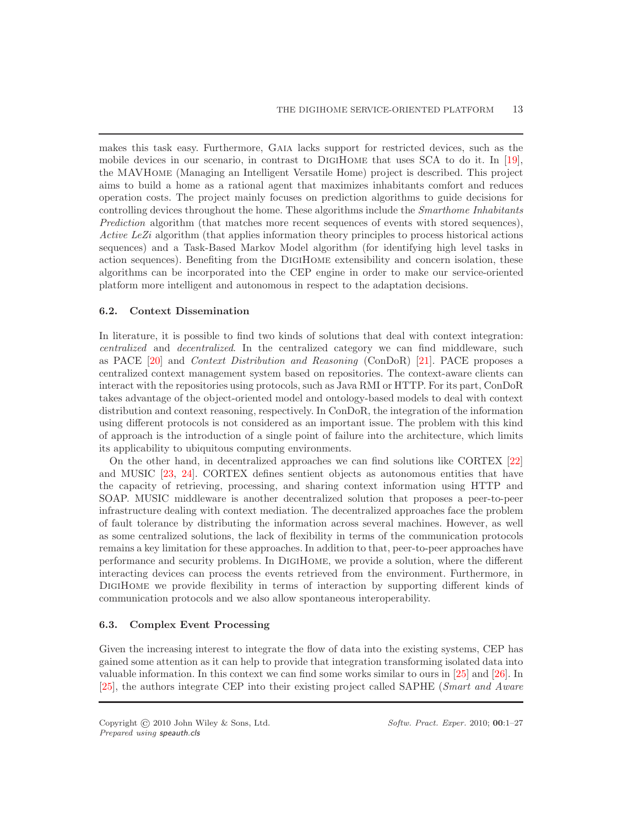makes this task easy. Furthermore, Gaia lacks support for restricted devices, such as the mobile devices in our scenario, in contrast to DigiHome that uses SCA to do it. In [\[19\]](#page-16-13), the MAVHome (Managing an Intelligent Versatile Home) project is described. This project aims to build a home as a rational agent that maximizes inhabitants comfort and reduces operation costs. The project mainly focuses on prediction algorithms to guide decisions for controlling devices throughout the home. These algorithms include the *Smarthome Inhabitants Prediction* algorithm (that matches more recent sequences of events with stored sequences), *Active LeZi* algorithm (that applies information theory principles to process historical actions sequences) and a Task-Based Markov Model algorithm (for identifying high level tasks in action sequences). Benefiting from the DigiHome extensibility and concern isolation, these algorithms can be incorporated into the CEP engine in order to make our service-oriented platform more intelligent and autonomous in respect to the adaptation decisions.

#### 6.2. Context Dissemination

In literature, it is possible to find two kinds of solutions that deal with context integration: *centralized* and *decentralized*. In the centralized category we can find middleware, such as PACE [\[20\]](#page-16-14) and *Context Distribution and Reasoning* (ConDoR) [\[21\]](#page-16-15). PACE proposes a centralized context management system based on repositories. The context-aware clients can interact with the repositories using protocols, such as Java RMI or HTTP. For its part, ConDoR takes advantage of the object-oriented model and ontology-based models to deal with context distribution and context reasoning, respectively. In ConDoR, the integration of the information using different protocols is not considered as an important issue. The problem with this kind of approach is the introduction of a single point of failure into the architecture, which limits its applicability to ubiquitous computing environments.

On the other hand, in decentralized approaches we can find solutions like CORTEX [\[22\]](#page-16-16) and MUSIC [\[23,](#page-16-17) [24\]](#page-16-18). CORTEX defines sentient objects as autonomous entities that have the capacity of retrieving, processing, and sharing context information using HTTP and SOAP. MUSIC middleware is another decentralized solution that proposes a peer-to-peer infrastructure dealing with context mediation. The decentralized approaches face the problem of fault tolerance by distributing the information across several machines. However, as well as some centralized solutions, the lack of flexibility in terms of the communication protocols remains a key limitation for these approaches. In addition to that, peer-to-peer approaches have performance and security problems. In DigiHome, we provide a solution, where the different interacting devices can process the events retrieved from the environment. Furthermore, in DigiHome we provide flexibility in terms of interaction by supporting different kinds of communication protocols and we also allow spontaneous interoperability.

#### 6.3. Complex Event Processing

Given the increasing interest to integrate the flow of data into the existing systems, CEP has gained some attention as it can help to provide that integration transforming isolated data into valuable information. In this context we can find some works similar to ours in [\[25\]](#page-16-19) and [\[26\]](#page-16-20). In [\[25\]](#page-16-19), the authors integrate CEP into their existing project called SAPHE (*Smart and Aware*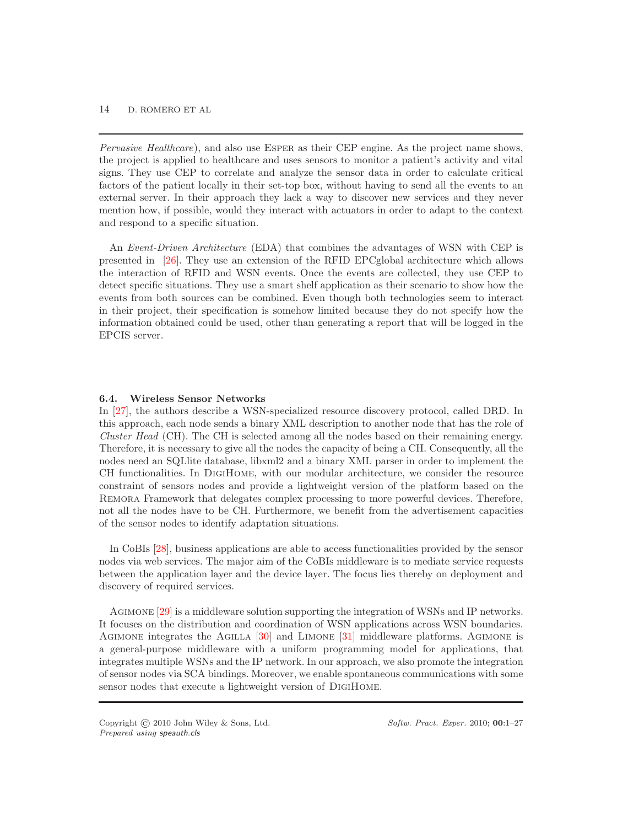#### 14 D. ROMERO ET AL

*Pervasive Healthcare*), and also use ESPER as their CEP engine. As the project name shows, the project is applied to healthcare and uses sensors to monitor a patient's activity and vital signs. They use CEP to correlate and analyze the sensor data in order to calculate critical factors of the patient locally in their set-top box, without having to send all the events to an external server. In their approach they lack a way to discover new services and they never mention how, if possible, would they interact with actuators in order to adapt to the context and respond to a specific situation.

An *Event-Driven Architecture* (EDA) that combines the advantages of WSN with CEP is presented in [\[26\]](#page-16-20). They use an extension of the RFID EPCglobal architecture which allows the interaction of RFID and WSN events. Once the events are collected, they use CEP to detect specific situations. They use a smart shelf application as their scenario to show how the events from both sources can be combined. Even though both technologies seem to interact in their project, their specification is somehow limited because they do not specify how the information obtained could be used, other than generating a report that will be logged in the EPCIS server.

#### 6.4. Wireless Sensor Networks

In [\[27\]](#page-17-0), the authors describe a WSN-specialized resource discovery protocol, called DRD. In this approach, each node sends a binary XML description to another node that has the role of *Cluster Head* (CH). The CH is selected among all the nodes based on their remaining energy. Therefore, it is necessary to give all the nodes the capacity of being a CH. Consequently, all the nodes need an SQLlite database, libxml2 and a binary XML parser in order to implement the CH functionalities. In DigiHome, with our modular architecture, we consider the resource constraint of sensors nodes and provide a lightweight version of the platform based on the Remora Framework that delegates complex processing to more powerful devices. Therefore, not all the nodes have to be CH. Furthermore, we benefit from the advertisement capacities of the sensor nodes to identify adaptation situations.

In CoBIs [\[28\]](#page-17-1), business applications are able to access functionalities provided by the sensor nodes via web services. The major aim of the CoBIs middleware is to mediate service requests between the application layer and the device layer. The focus lies thereby on deployment and discovery of required services.

Agimone [\[29\]](#page-17-2) is a middleware solution supporting the integration of WSNs and IP networks. It focuses on the distribution and coordination of WSN applications across WSN boundaries. Agimone integrates the Agilla [\[30\]](#page-17-3) and Limone [\[31\]](#page-17-4) middleware platforms. Agimone is a general-purpose middleware with a uniform programming model for applications, that integrates multiple WSNs and the IP network. In our approach, we also promote the integration of sensor nodes via SCA bindings. Moreover, we enable spontaneous communications with some sensor nodes that execute a lightweight version of DIGIHOME.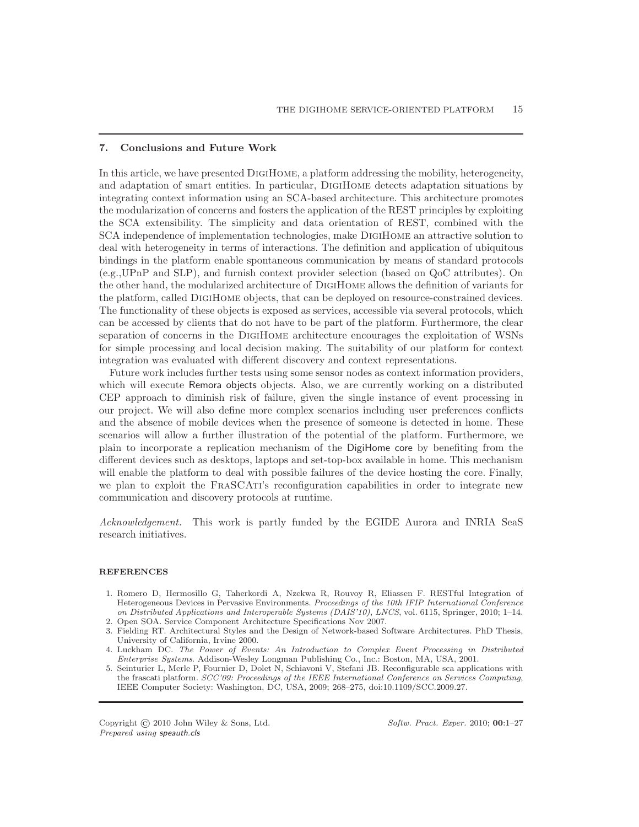#### <span id="page-15-4"></span>7. Conclusions and Future Work

In this article, we have presented DigiHome, a platform addressing the mobility, heterogeneity, and adaptation of smart entities. In particular, DigiHome detects adaptation situations by integrating context information using an SCA-based architecture. This architecture promotes the modularization of concerns and fosters the application of the REST principles by exploiting the SCA extensibility. The simplicity and data orientation of REST, combined with the SCA independence of implementation technologies, make DigiHome an attractive solution to deal with heterogeneity in terms of interactions. The definition and application of ubiquitous bindings in the platform enable spontaneous communication by means of standard protocols (e.g.,UPnP and SLP), and furnish context provider selection (based on QoC attributes). On the other hand, the modularized architecture of DigiHome allows the definition of variants for the platform, called DigiHome objects, that can be deployed on resource-constrained devices. The functionality of these objects is exposed as services, accessible via several protocols, which can be accessed by clients that do not have to be part of the platform. Furthermore, the clear separation of concerns in the DigiHome architecture encourages the exploitation of WSNs for simple processing and local decision making. The suitability of our platform for context integration was evaluated with different discovery and context representations.

Future work includes further tests using some sensor nodes as context information providers, which will execute Remora objects objects. Also, we are currently working on a distributed CEP approach to diminish risk of failure, given the single instance of event processing in our project. We will also define more complex scenarios including user preferences conflicts and the absence of mobile devices when the presence of someone is detected in home. These scenarios will allow a further illustration of the potential of the platform. Furthermore, we plain to incorporate a replication mechanism of the DigiHome core by benefiting from the different devices such as desktops, laptops and set-top-box available in home. This mechanism will enable the platform to deal with possible failures of the device hosting the core. Finally, we plan to exploit the FraSCAti's reconfiguration capabilities in order to integrate new communication and discovery protocols at runtime.

*Acknowledgement.* This work is partly funded by the EGIDE Aurora and INRIA SeaS research initiatives.

#### REFERENCES

- <span id="page-15-0"></span>1. Romero D, Hermosillo G, Taherkordi A, Nzekwa R, Rouvoy R, Eliassen F. RESTful Integration of Heterogeneous Devices in Pervasive Environments. *Proceedings of the 10th IFIP International Conference on Distributed Applications and Interoperable Systems (DAIS'10)*, *LNCS*, vol. 6115, Springer, 2010; 1–14.
- <span id="page-15-2"></span><span id="page-15-1"></span>2. Open SOA. Service Component Architecture Specifications Nov 2007.
- 3. Fielding RT. Architectural Styles and the Design of Network-based Software Architectures. PhD Thesis, University of California, Irvine 2000.
- <span id="page-15-3"></span>4. Luckham DC. *The Power of Events: An Introduction to Complex Event Processing in Distributed Enterprise Systems*. Addison-Wesley Longman Publishing Co., Inc.: Boston, MA, USA, 2001.
- <span id="page-15-5"></span>5. Seinturier L, Merle P, Fournier D, Dolet N, Schiavoni V, Stefani JB. Reconfigurable sca applications with the frascati platform. *SCC'09: Proceedings of the IEEE International Conference on Services Computing*, IEEE Computer Society: Washington, DC, USA, 2009; 268–275, doi:10.1109/SCC.2009.27.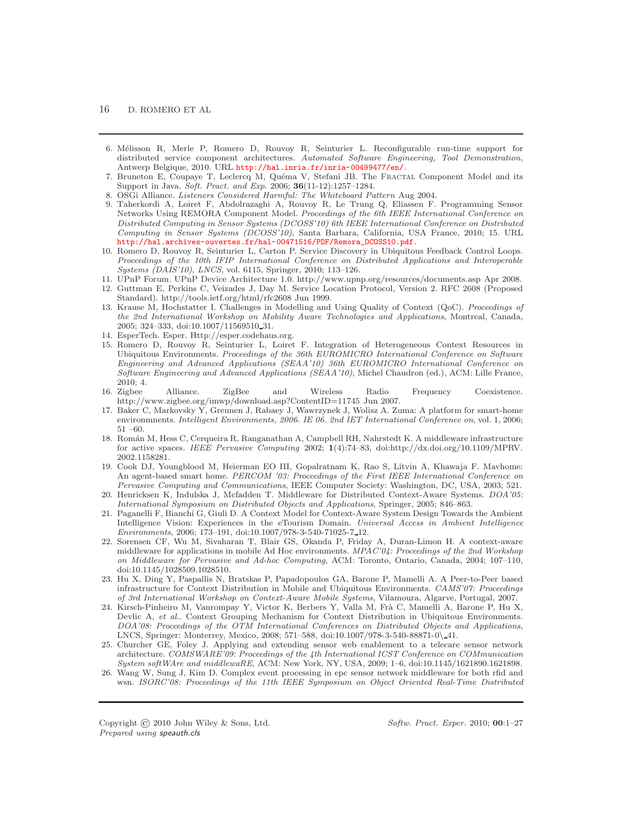#### 16 D. ROMERO ET AL

- <span id="page-16-0"></span>6. M´elisson R, Merle P, Romero D, Rouvoy R, Seinturier L. Reconfigurable run-time support for distributed service component architectures. *Automated Software Engineering, Tool Demonstration*, Antwerp Belgique, 2010. URL <http://hal.inria.fr/inria-00499477/en/>.
- <span id="page-16-1"></span>7. Bruneton E, Coupaye T, Leclercq M, Quéma V, Stefani JB. The FRACTAL Component Model and its Support in Java. *Soft. Pract. and Exp.* 2006; 36(11-12):1257–1284.
- <span id="page-16-3"></span><span id="page-16-2"></span>8. OSGi Alliance. *Listeners Considered Harmful: The Whiteboard Pattern* Aug 2004.
- 9. Taherkordi A, Loiret F, Abdolrazaghi A, Rouvoy R, Le Trung Q, Eliassen F. Programming Sensor Networks Using REMORA Component Model. *Proceedings of the 6th IEEE International Conference on Distributed Computing in Sensor Systems (DCOSS'10) 6th IEEE International Conference on Distributed Computing in Sensor Systems (DCOSS'10)*, Santa Barbara, California, USA France, 2010; 15. URL [http://hal.archives-ouvertes.fr/hal-00471516/PDF/Remora\\_DCOSS10.pdf](http://hal.archives-ouvertes.fr/hal-00471516/PDF/Remora_DCOSS10.pdf).
- <span id="page-16-4"></span>10. Romero D, Rouvoy R, Seinturier L, Carton P. Service Discovery in Ubiquitous Feedback Control Loops. *Proceedings of the 10th IFIP International Conference on Distributed Applications and Interoperable Systems (DAIS'10)*, *LNCS*, vol. 6115, Springer, 2010; 113–126.
- <span id="page-16-6"></span><span id="page-16-5"></span>11. UPnP Forum. UPnP Device Architecture 1.0. http://www.upnp.org/resources/documents.asp Apr 2008.
- 12. Guttman E, Perkins C, Veizades J, Day M. Service Location Protocol, Version 2. RFC 2608 (Proposed Standard). http://tools.ietf.org/html/rfc2608 Jun 1999.
- <span id="page-16-7"></span>13. Krause M, Hochstatter I. Challenges in Modelling and Using Quality of Context (QoC). *Proceedings of the 2nd International Workshop on Mobility Aware Technologies and Applications*, Montreal, Canada, 2005; 324–333, doi:10.1007/11569510 31.
- <span id="page-16-9"></span><span id="page-16-8"></span>14. EsperTech. Esper. Http://esper.codehaus.org.
- 15. Romero D, Rouvoy R, Seinturier L, Loiret F. Integration of Heterogeneous Context Resources in Ubiquitous Environments. *Proceedings of the 36th EUROMICRO International Conference on Software Engineering and Advanced Applications (SEAA'10) 36th EUROMICRO International Conference on Software Engineering and Advanced Applications (SEAA'10)*, Michel Chaudron (ed.), ACM: Lille France, 2010; 4.
- <span id="page-16-10"></span>16. Zigbee Alliance. ZigBee and Wireless Radio Frequency Coexistence. http://www.zigbee.org/imwp/download.asp?ContentID=11745 Jun 2007.
- <span id="page-16-11"></span>17. Baker C, Markovsky Y, Greunen J, Rabaey J, Wawrzynek J, Wolisz A. Zuma: A platform for smart-home environmnents. *Intelligent Environments, 2006. IE 06. 2nd IET International Conference on*, vol. 1, 2006; 51 –60.
- <span id="page-16-12"></span>18. Rom´an M, Hess C, Cerqueira R, Ranganathan A, Campbell RH, Nahrstedt K. A middleware infrastructure for active spaces. *IEEE Pervasive Computing* 2002; 1(4):74–83, doi:http://dx.doi.org/10.1109/MPRV. 2002.1158281.
- <span id="page-16-13"></span>19. Cook DJ, Youngblood M, Heierman EO III, Gopalratnam K, Rao S, Litvin A, Khawaja F. Mavhome: An agent-based smart home. *PERCOM '03: Proceedings of the First IEEE International Conference on Pervasive Computing and Communications*, IEEE Computer Society: Washington, DC, USA, 2003; 521.
- <span id="page-16-14"></span>20. Henricksen K, Indulska J, Mcfadden T. Middleware for Distributed Context-Aware Systems. *DOA'05: International Symposium on Distributed Objects and Applications*, Springer, 2005; 846–863.
- <span id="page-16-15"></span>21. Paganelli F, Bianchi G, Giuli D. A Context Model for Context-Aware System Design Towards the Ambient Intelligence Vision: Experiences in the eTourism Domain. *Universal Access in Ambient Intelligence Environments*, 2006; 173–191, doi:10.1007/978-3-540-71025-7 12.
- <span id="page-16-16"></span>22. Sorensen CF, Wu M, Sivaharan T, Blair GS, Okanda P, Friday A, Duran-Limon H. A context-aware middleware for applications in mobile Ad Hoc environments. *MPAC'04: Proceedings of the 2nd Workshop on Middleware for Pervasive and Ad-hoc Computing*, ACM: Toronto, Ontario, Canada, 2004; 107–110, doi:10.1145/1028509.1028510.
- <span id="page-16-17"></span>23. Hu X, Ding Y, Paspallis N, Bratskas P, Papadopoulos GA, Barone P, Mamelli A. A Peer-to-Peer based infrastructure for Context Distribution in Mobile and Ubiquitous Environments. *CAMS'07: Proceedings of 3rd International Workshop on Context-Aware Mobile Systems*, Vilamoura, Algarve, Portugal, 2007.
- <span id="page-16-18"></span>24. Kirsch-Pinheiro M, Vanrompay Y, Victor K, Berbers Y, Valla M, Frà C, Mamelli A, Barone P, Hu X, Devlic A, *et al.*. Context Grouping Mechanism for Context Distribution in Ubiquitous Environments. *DOA'08: Proceedings of the OTM International Conferences on Distributed Objects and Applications*, LNCS, Springer: Monterrey, Mexico, 2008; 571–588, doi:10.1007/978-3-540-88871-0\ 41.
- <span id="page-16-19"></span>25. Churcher GE, Foley J. Applying and extending sensor web enablement to a telecare sensor network architecture. *COMSWARE'09: Proceedings of the 4th International ICST Conference on COMmunication System softWAre and middlewaRE*, ACM: New York, NY, USA, 2009; 1–6, doi:10.1145/1621890.1621898.
- <span id="page-16-20"></span>26. Wang W, Sung J, Kim D. Complex event processing in epc sensor network middleware for both rfid and wsn. *ISORC'08: Proceedings of the 11th IEEE Symposium on Object Oriented Real-Time Distributed*